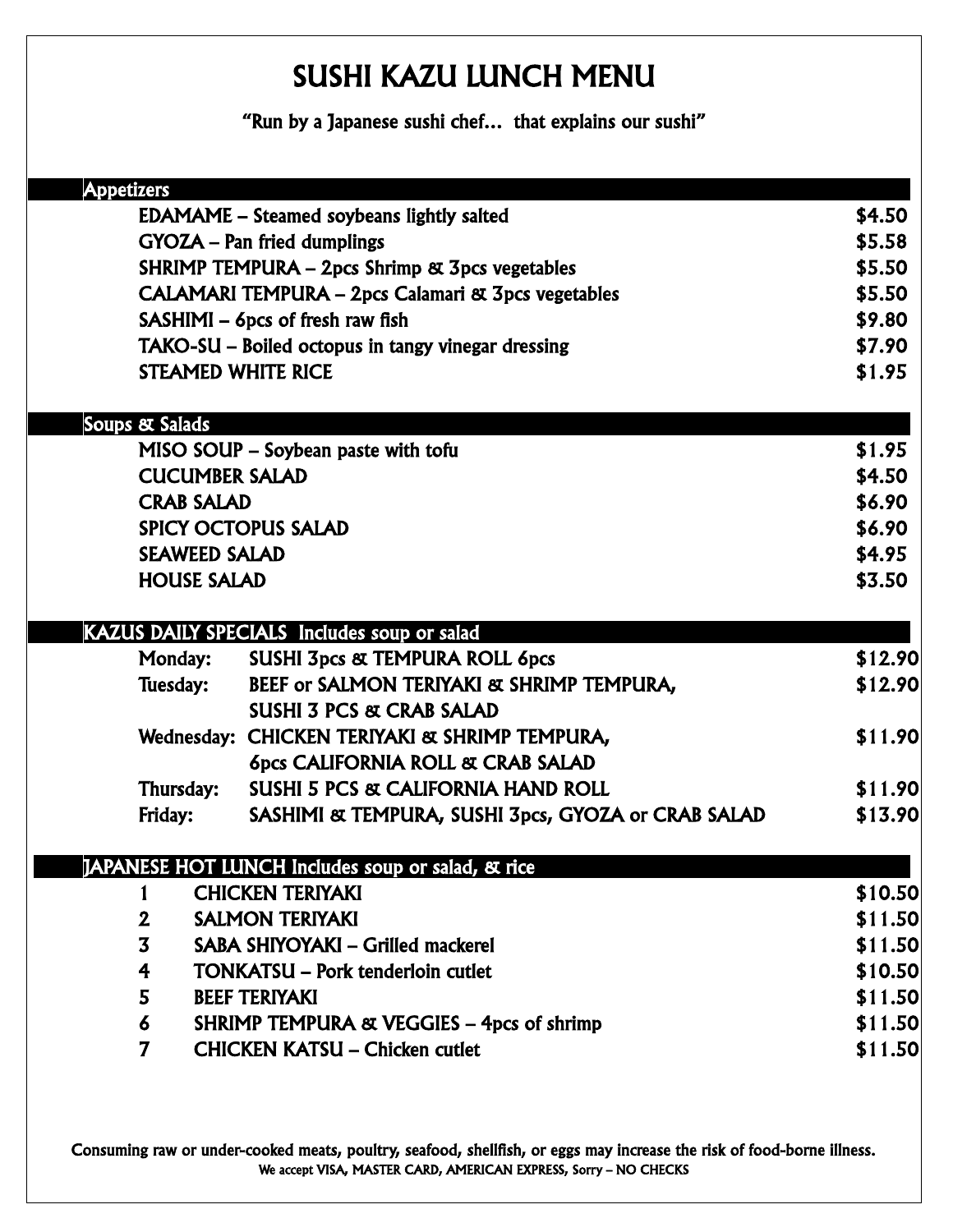## SUSHI KAZU LUNCH MENU

"Run by a Japanese sushi chef… that explains our sushi"

| <b>Appetizers</b> |                                                               |                                                                                        |                  |
|-------------------|---------------------------------------------------------------|----------------------------------------------------------------------------------------|------------------|
|                   | \$4.50                                                        |                                                                                        |                  |
|                   |                                                               | <b>EDAMAME</b> – Steamed soybeans lightly salted<br><b>GYOZA</b> – Pan fried dumplings | \$5.58           |
|                   |                                                               | SHRIMP TEMPURA - 2pcs Shrimp & 3pcs vegetables                                         | \$5.50           |
|                   | <b>CALAMARI TEMPURA – 2pcs Calamari &amp; 3pcs vegetables</b> |                                                                                        |                  |
|                   | SASHIMI - 6pcs of fresh raw fish                              |                                                                                        |                  |
|                   |                                                               | TAKO-SU – Boiled octopus in tangy vinegar dressing                                     | \$9.80<br>\$7.90 |
|                   | <b>STEAMED WHITE RICE</b>                                     |                                                                                        | \$1.95           |
|                   |                                                               |                                                                                        |                  |
|                   | Soups & Salads                                                |                                                                                        | \$1.95           |
|                   | <b>CUCUMBER SALAD</b>                                         | MISO SOUP – Soybean paste with tofu                                                    | \$4.50           |
|                   | <b>CRAB SALAD</b>                                             |                                                                                        | \$6.90           |
|                   |                                                               | <b>SPICY OCTOPUS SALAD</b>                                                             | \$6.90           |
|                   | <b>SEAWEED SALAD</b>                                          |                                                                                        | \$4.95           |
|                   | <b>HOUSE SALAD</b>                                            |                                                                                        | \$3.50           |
|                   |                                                               |                                                                                        |                  |
|                   |                                                               | KAZUS DAILY SPECIALS Includes soup or salad                                            |                  |
|                   | <b>Monday:</b>                                                | <b>SUSHI 3pcs &amp; TEMPURA ROLL 6pcs</b>                                              | \$12.90          |
|                   | Tuesday:                                                      | BEEF or SALMON TERIYAKI & SHRIMP TEMPURA,                                              | \$12.90          |
|                   |                                                               | <b>SUSHI 3 PCS &amp; CRAB SALAD</b>                                                    |                  |
|                   |                                                               | Wednesday: CHICKEN TERIYAKI & SHRIMP TEMPURA,                                          | \$11.90          |
|                   |                                                               | <b>6pcs CALIFORNIA ROLL &amp; CRAB SALAD</b>                                           |                  |
|                   | Thursday:                                                     | <b>SUSHI 5 PCS &amp; CALIFORNIA HAND ROLL</b>                                          | \$11.90          |
|                   | Friday:                                                       | SASHIMI & TEMPURA, SUSHI 3pcs, GYOZA or CRAB SALAD                                     | \$13.90          |
|                   |                                                               | JAPANESE HOT LUNCH Includes soup or salad, & rice                                      |                  |
|                   |                                                               | <b>CHICKEN TERIYAKI</b>                                                                | \$10.50          |
|                   | $\mathbf 2$                                                   | <b>SALMON TERIYAKI</b>                                                                 | \$11.50          |
|                   | $\overline{\mathbf{3}}$                                       | SABA SHIYOYAKI - Grilled mackerel                                                      | \$11.50          |
|                   | $\overline{\textbf{r}}$                                       | <b>TONKATSU – Pork tenderloin cutlet</b>                                               | \$10.50          |
|                   | 5                                                             | <b>BEEF TERIYAKI</b>                                                                   | \$11.50          |
|                   | 6                                                             | <b>SHRIMP TEMPURA &amp; VEGGIES - 4pcs of shrimp</b>                                   | \$11.50          |
|                   | $\overline{7}$                                                | <b>CHICKEN KATSU - Chicken cutlet</b>                                                  | \$11.50          |
|                   |                                                               |                                                                                        |                  |

Consuming raw or under-cooked meats, poultry, seafood, shellfish, or eggs may increase the risk of food-borne illness. We accept VISA, MASTER CARD, AMERICAN EXPRESS, Sorry – NO CHECKS